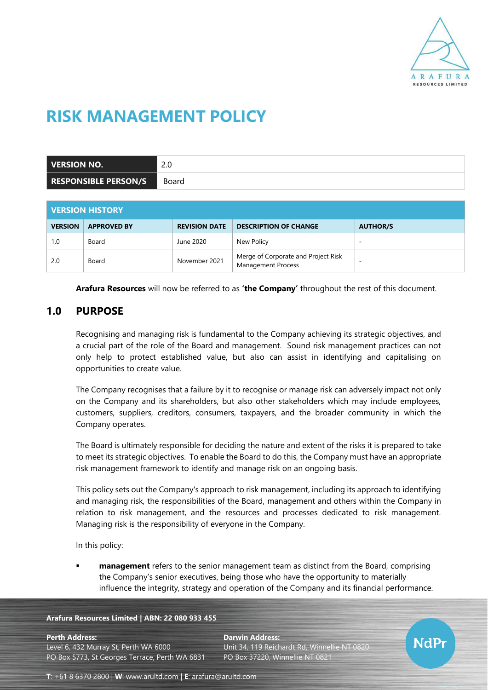

# **RISK MANAGEMENT POLICY**

| VERSION NO.                 | $\cap$ $\cap$<br>Z.U |
|-----------------------------|----------------------|
| <b>RESPONSIBLE PERSON/S</b> | Board                |

| <b>UERSION HISTORY</b> |                    |                      |                                                           |                          |  |  |
|------------------------|--------------------|----------------------|-----------------------------------------------------------|--------------------------|--|--|
| <b>VERSION</b>         | <b>APPROVED BY</b> | <b>REVISION DATE</b> | <b>DESCRIPTION OF CHANGE</b>                              | <b>AUTHOR/S</b>          |  |  |
| 1.0                    | Board              | June 2020            | New Policy                                                | $\overline{\phantom{a}}$ |  |  |
| 2.0                    | Board              | November 2021        | Merge of Corporate and Project Risk<br>Management Process | $\overline{\phantom{a}}$ |  |  |

**Arafura Resources** will now be referred to as **'the Company'** throughout the rest of this document.

# **1.0 PURPOSE**

Recognising and managing risk is fundamental to the Company achieving its strategic objectives, and a crucial part of the role of the Board and management. Sound risk management practices can not only help to protect established value, but also can assist in identifying and capitalising on opportunities to create value.

The Company recognises that a failure by it to recognise or manage risk can adversely impact not only on the Company and its shareholders, but also other stakeholders which may include employees, customers, suppliers, creditors, consumers, taxpayers, and the broader community in which the Company operates.

The Board is ultimately responsible for deciding the nature and extent of the risks it is prepared to take to meet its strategic objectives. To enable the Board to do this, the Company must have an appropriate risk management framework to identify and manage risk on an ongoing basis.

This policy sets out the Company's approach to risk management, including its approach to identifying and managing risk, the responsibilities of the Board, management and others within the Company in relation to risk management, and the resources and processes dedicated to risk management. Managing risk is the responsibility of everyone in the Company.

In this policy:

**management** refers to the senior management team as distinct from the Board, comprising the Company's senior executives, being those who have the opportunity to materially influence the integrity, strategy and operation of the Company and its financial performance.

#### **Arafura Resources Limited | ABN: 22 080 933 455**

#### **Perth Address: Darwin Address:**

Level 6, 432 Murray St, Perth WA 6000 Unit 34, 119 Reichardt Rd, Winnellie NT 0820 PO Box 5773, St Georges Terrace, Perth WA 6831 PO Box 37220, Winnellie NT 0821



**T**: +61 8 6370 2800 | **W**: [www.arultd.com](http://www.arultd.com/) | **E**: [arafura@arultd.com](mailto:arafura@arultd.com)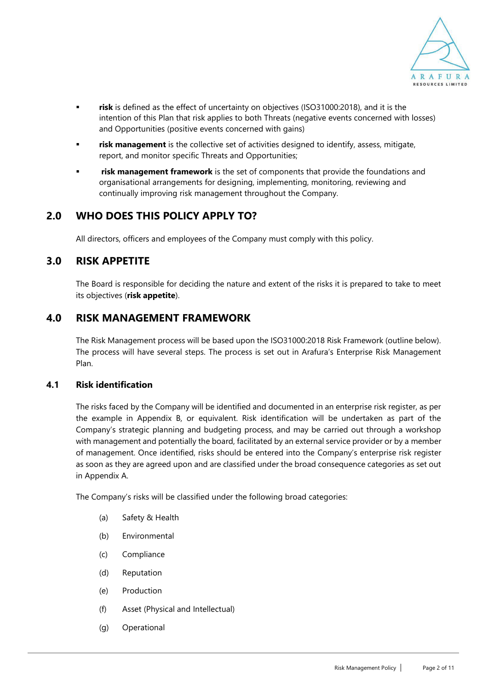

- risk is defined as the effect of uncertainty on objectives (ISO31000:2018), and it is the intention of this Plan that risk applies to both Threats (negative events concerned with losses) and Opportunities (positive events concerned with gains)
- risk management is the collective set of activities designed to identify, assess, mitigate, report, and monitor specific Threats and Opportunities;
- **risk management framework** is the set of components that provide the foundations and organisational arrangements for designing, implementing, monitoring, reviewing and continually improving risk management throughout the Company.

# **2.0 WHO DOES THIS POLICY APPLY TO?**

All directors, officers and employees of the Company must comply with this policy.

# **3.0 RISK APPETITE**

The Board is responsible for deciding the nature and extent of the risks it is prepared to take to meet its objectives (**risk appetite**).

### **4.0 RISK MANAGEMENT FRAMEWORK**

The Risk Management process will be based upon the ISO31000:2018 Risk Framework (outline below). The process will have several steps. The process is set out in Arafura's Enterprise Risk Management Plan.

### **4.1 Risk identification**

The risks faced by the Company will be identified and documented in an enterprise risk register, as per the example in Appendix B, or equivalent. Risk identification will be undertaken as part of the Company's strategic planning and budgeting process, and may be carried out through a workshop with management and potentially the board, facilitated by an external service provider or by a member of management. Once identified, risks should be entered into the Company's enterprise risk register as soon as they are agreed upon and are classified under the broad consequence categories as set out in Appendix A.

The Company's risks will be classified under the following broad categories:

- (a) Safety & Health
- (b) Environmental
- (c) Compliance
- (d) Reputation
- (e) Production
- (f) Asset (Physical and Intellectual)
- (g) Operational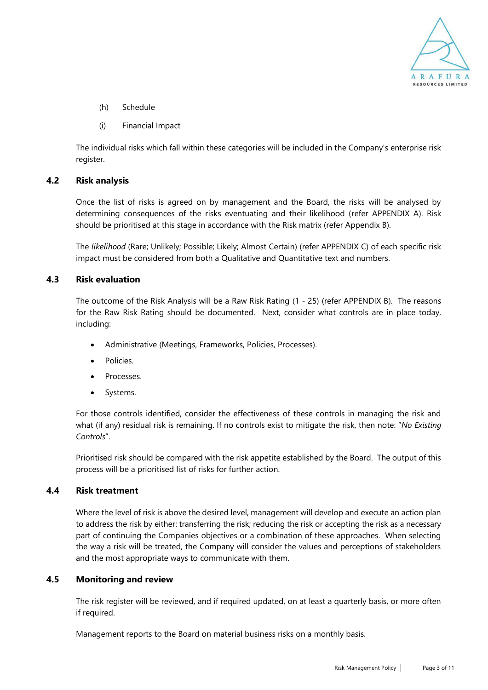

- (h) Schedule
- (i) Financial Impact

The individual risks which fall within these categories will be included in the Company's enterprise risk register.

#### **4.2 Risk analysis**

Once the list of risks is agreed on by management and the Board, the risks will be analysed by determining consequences of the risks eventuating and their likelihood (refer [APPENDIX A\)](#page-7-0). Risk should be prioritised at this stage in accordance with the Risk matrix (refer Appendix B).

The *likelihood* (Rare; Unlikely; Possible; Likely; Almost Certain) (refer [APPENDIX C\)](#page-9-0) of each specific risk impact must be considered from both a Qualitative and Quantitative text and numbers.

#### **4.3 Risk evaluation**

The outcome of the Risk Analysis will be a Raw Risk Rating (1 - 25) (refer [APPENDIX B\)](#page-8-0). The reasons for the Raw Risk Rating should be documented. Next, consider what controls are in place today, including:

- Administrative (Meetings, Frameworks, Policies, Processes).
- Policies.
- Processes.
- Systems.

For those controls identified, consider the effectiveness of these controls in managing the risk and what (if any) residual risk is remaining. If no controls exist to mitigate the risk, then note: "*No Existing Controls*".

Prioritised risk should be compared with the risk appetite established by the Board. The output of this process will be a prioritised list of risks for further action.

### **4.4 Risk treatment**

Where the level of risk is above the desired level, management will develop and execute an action plan to address the risk by either: transferring the risk; reducing the risk or accepting the risk as a necessary part of continuing the Companies objectives or a combination of these approaches. When selecting the way a risk will be treated, the Company will consider the values and perceptions of stakeholders and the most appropriate ways to communicate with them.

#### **4.5 Monitoring and review**

The risk register will be reviewed, and if required updated, on at least a quarterly basis, or more often if required.

Management reports to the Board on material business risks on a monthly basis.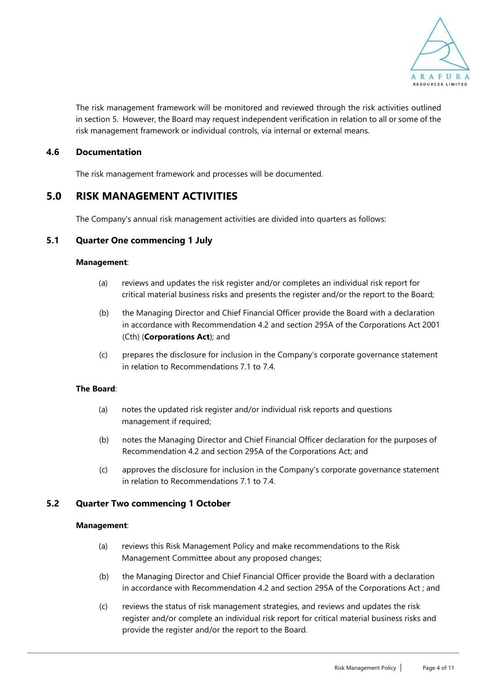

The risk management framework will be monitored and reviewed through the risk activities outlined in section 5. However, the Board may request independent verification in relation to all or some of the risk management framework or individual controls, via internal or external means.

#### **4.6 Documentation**

The risk management framework and processes will be documented.

### **5.0 RISK MANAGEMENT ACTIVITIES**

The Company's annual risk management activities are divided into quarters as follows:

### **5.1 Quarter One commencing 1 July**

#### **Management**:

- (a) reviews and updates the risk register and/or completes an individual risk report for critical material business risks and presents the register and/or the report to the Board;
- (b) the Managing Director and Chief Financial Officer provide the Board with a declaration in accordance with Recommendation 4.2 and section 295A of the Corporations Act 2001 (Cth) (**Corporations Act**); and
- (c) prepares the disclosure for inclusion in the Company's corporate governance statement in relation to Recommendations 7.1 to 7.4.

#### **The Board**:

- (a) notes the updated risk register and/or individual risk reports and questions management if required;
- (b) notes the Managing Director and Chief Financial Officer declaration for the purposes of Recommendation 4.2 and section 295A of the Corporations Act; and
- (c) approves the disclosure for inclusion in the Company's corporate governance statement in relation to Recommendations 7.1 to 7.4.

#### **5.2 Quarter Two commencing 1 October**

#### **Management**:

- (a) reviews this Risk Management Policy and make recommendations to the Risk Management Committee about any proposed changes;
- (b) the Managing Director and Chief Financial Officer provide the Board with a declaration in accordance with Recommendation 4.2 and section 295A of the Corporations Act ; and
- (c) reviews the status of risk management strategies, and reviews and updates the risk register and/or complete an individual risk report for critical material business risks and provide the register and/or the report to the Board.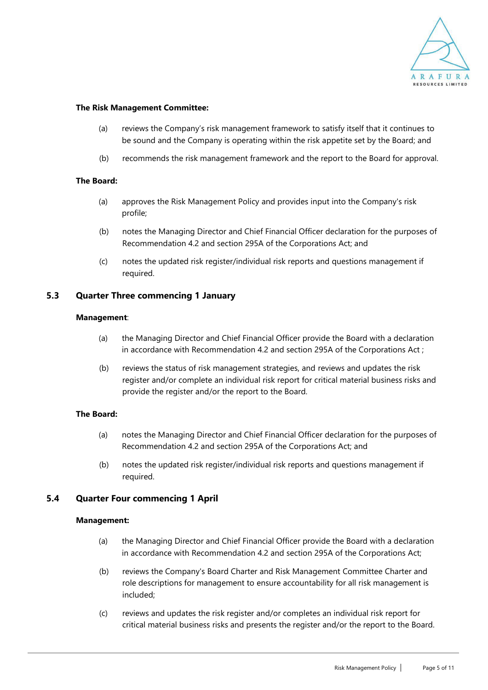

#### **The Risk Management Committee:**

- (a) reviews the Company's risk management framework to satisfy itself that it continues to be sound and the Company is operating within the risk appetite set by the Board; and
- (b) recommends the risk management framework and the report to the Board for approval.

#### **The Board:**

- (a) approves the Risk Management Policy and provides input into the Company's risk profile;
- (b) notes the Managing Director and Chief Financial Officer declaration for the purposes of Recommendation 4.2 and section 295A of the Corporations Act; and
- (c) notes the updated risk register/individual risk reports and questions management if required.

#### **5.3 Quarter Three commencing 1 January**

#### **Management**:

- (a) the Managing Director and Chief Financial Officer provide the Board with a declaration in accordance with Recommendation 4.2 and section 295A of the Corporations Act ;
- (b) reviews the status of risk management strategies, and reviews and updates the risk register and/or complete an individual risk report for critical material business risks and provide the register and/or the report to the Board.

#### **The Board:**

- (a) notes the Managing Director and Chief Financial Officer declaration for the purposes of Recommendation 4.2 and section 295A of the Corporations Act; and
- (b) notes the updated risk register/individual risk reports and questions management if required.

#### **5.4 Quarter Four commencing 1 April**

#### **Management:**

- (a) the Managing Director and Chief Financial Officer provide the Board with a declaration in accordance with Recommendation 4.2 and section 295A of the Corporations Act;
- (b) reviews the Company's Board Charter and Risk Management Committee Charter and role descriptions for management to ensure accountability for all risk management is included;
- (c) reviews and updates the risk register and/or completes an individual risk report for critical material business risks and presents the register and/or the report to the Board.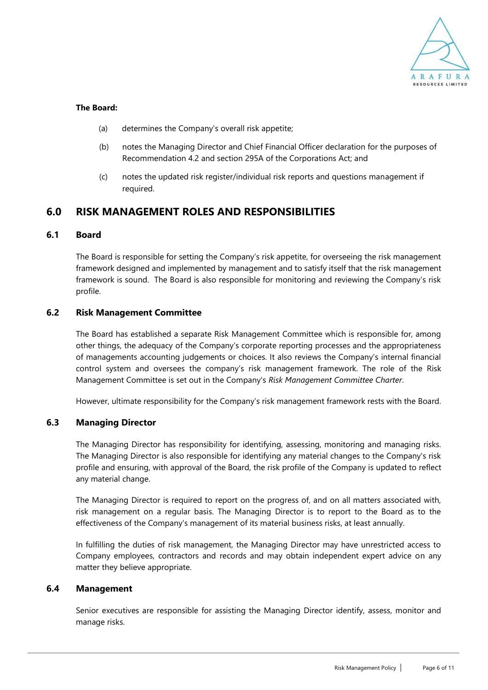

#### **The Board:**

- (a) determines the Company's overall risk appetite;
- (b) notes the Managing Director and Chief Financial Officer declaration for the purposes of Recommendation 4.2 and section 295A of the Corporations Act; and
- (c) notes the updated risk register/individual risk reports and questions management if required.

# **6.0 RISK MANAGEMENT ROLES AND RESPONSIBILITIES**

### **6.1 Board**

The Board is responsible for setting the Company's risk appetite, for overseeing the risk management framework designed and implemented by management and to satisfy itself that the risk management framework is sound. The Board is also responsible for monitoring and reviewing the Company's risk profile.

#### **6.2 Risk Management Committee**

The Board has established a separate Risk Management Committee which is responsible for, among other things, the adequacy of the Company's corporate reporting processes and the appropriateness of managements accounting judgements or choices. It also reviews the Company's internal financial control system and oversees the company's risk management framework. The role of the Risk Management Committee is set out in the Company's *Risk Management Committee Charter*.

However, ultimate responsibility for the Company's risk management framework rests with the Board.

### **6.3 Managing Director**

The Managing Director has responsibility for identifying, assessing, monitoring and managing risks. The Managing Director is also responsible for identifying any material changes to the Company's risk profile and ensuring, with approval of the Board, the risk profile of the Company is updated to reflect any material change.

The Managing Director is required to report on the progress of, and on all matters associated with, risk management on a regular basis. The Managing Director is to report to the Board as to the effectiveness of the Company's management of its material business risks, at least annually.

In fulfilling the duties of risk management, the Managing Director may have unrestricted access to Company employees, contractors and records and may obtain independent expert advice on any matter they believe appropriate.

### **6.4 Management**

Senior executives are responsible for assisting the Managing Director identify, assess, monitor and manage risks.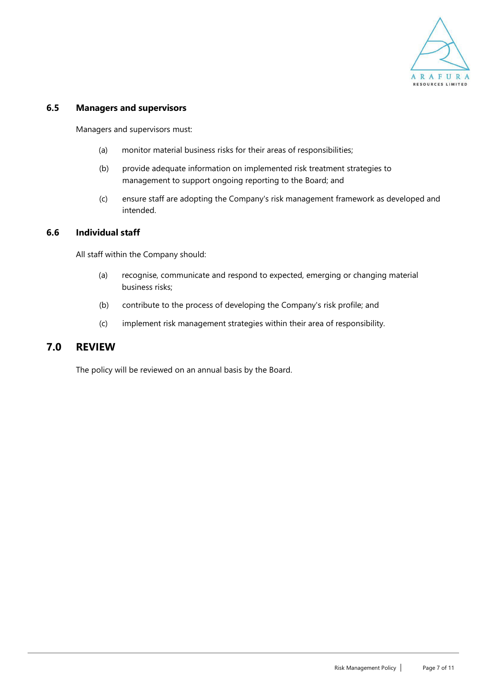

### **6.5 Managers and supervisors**

Managers and supervisors must:

- (a) monitor material business risks for their areas of responsibilities;
- (b) provide adequate information on implemented risk treatment strategies to management to support ongoing reporting to the Board; and
- (c) ensure staff are adopting the Company's risk management framework as developed and intended.

#### **6.6 Individual staff**

All staff within the Company should:

- (a) recognise, communicate and respond to expected, emerging or changing material business risks;
- (b) contribute to the process of developing the Company's risk profile; and
- (c) implement risk management strategies within their area of responsibility.

### **7.0 REVIEW**

The policy will be reviewed on an annual basis by the Board.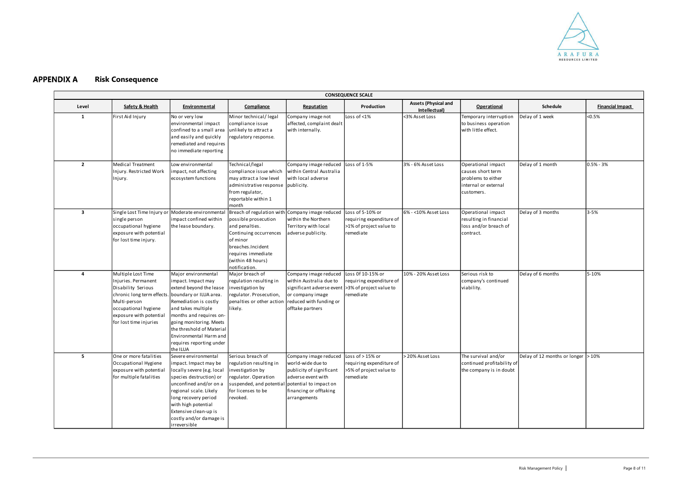#### <span id="page-7-0"></span>**APPENDIX A Risk Consequence**

| <b>CONSEQUENCE SCALE</b> |                                                                                                                                                                                            |                                                                                                                                                                                                                                                                                                      |                                                                                                                                                               |                                                                                                                                                                                   |                                                                                      |                                              |                                                                                                     |                                       |                         |
|--------------------------|--------------------------------------------------------------------------------------------------------------------------------------------------------------------------------------------|------------------------------------------------------------------------------------------------------------------------------------------------------------------------------------------------------------------------------------------------------------------------------------------------------|---------------------------------------------------------------------------------------------------------------------------------------------------------------|-----------------------------------------------------------------------------------------------------------------------------------------------------------------------------------|--------------------------------------------------------------------------------------|----------------------------------------------|-----------------------------------------------------------------------------------------------------|---------------------------------------|-------------------------|
| Level                    | Safety & Health                                                                                                                                                                            | Environmental                                                                                                                                                                                                                                                                                        | Compliance                                                                                                                                                    | Reputation                                                                                                                                                                        | Production                                                                           | <b>Assets (Physical and</b><br>Intellectual) | <b>Operational</b>                                                                                  | <b>Schedule</b>                       | <b>Financial Impact</b> |
| 1                        | First Aid Injury                                                                                                                                                                           | No or very low<br>environmental impact<br>confined to a small area<br>and easily and quickly<br>remediated and requires<br>no immediate reporting                                                                                                                                                    | Minor technical/legal<br>compliance issue<br>unlikely to attract a<br>regulatory response.                                                                    | Company image not<br>affected, complaint dealt<br>with internally.                                                                                                                | Loss of <1%                                                                          | <3% Asset Loss                               | Temporary interruption<br>to business operation<br>with little effect.                              | Delay of 1 week                       | < 0.5%                  |
| $\overline{2}$           | Medical Treatment<br>Injury. Restricted Work<br>Injury.                                                                                                                                    | Low environmental<br>impact, not affecting<br>ecosystem functions                                                                                                                                                                                                                                    | Technical/legal<br>compliance issue which<br>may attract a low level<br>administrative response<br>from regulator,<br>reportable within 1<br>month            | Company image reduced Loss of 1-5%<br>within Central Australia<br>with local adverse<br>publicity.                                                                                |                                                                                      | 3% - 6% Asset Loss                           | Operational impact<br>causes short term<br>problems to either<br>internal or external<br>customers. | Delay of 1 month                      | $0.5% - 3%$             |
| $\overline{\mathbf{3}}$  | single person<br>occupational hygiene<br>exposure with potential<br>for lost time injury.                                                                                                  | Single Lost Time Injury or Moderate environmental<br>impact confined within<br>the lease boundary.                                                                                                                                                                                                   | possible prosecution<br>and penalties.<br>Continuing occurrences<br>of minor<br>breaches.Incident<br>requires immediate<br>(within 48 hours)<br>notification. | Breach of regulation with Company image reduced<br>within the Northern<br>Territory with local<br>adverse publicity.                                                              | Loss of 5-10% or<br>requiring expenditure of<br>>1% of project value to<br>remediate | 6% - < 10% Asset Loss                        | Operational impact<br>resulting in financial<br>loss and/or breach of<br>contract.                  | Delay of 3 months                     | $3 - 5%$                |
| 4                        | Multiple Lost Time<br>Injuries. Permanent<br>Disability Serious<br>chronic long term effects.<br>Multi-person<br>occupational hygiene<br>exposure with potential<br>for lost time injuries | Major environmental<br>impact. Impact may<br>extend beyond the lease<br>. boundary or ILUA area.<br>Remediation is costly<br>and takes multiple<br>months and requires on-<br>going monitoring. Meets<br>the threshold of Material<br>Environmental Harm and<br>requires reporting under<br>the ILUA | Major breach of<br>regulation resulting in<br>investigation by<br>regulator. Prosecution,<br>penalties or other action<br>likely.                             | Company image reduced<br>within Australia due to<br>significant adverse event  >3% of project value to<br>or company image<br>reduced with funding or<br>offtake partners         | Loss 0f 10-15% or<br>requiring expenditure of<br>remediate                           | 10% - 20% Asset Loss                         | Serious risk to<br>company's continued<br>viability.                                                | Delay of 6 months                     | 5-10%                   |
| 5                        | One or more fatalities<br>Occupational Hygiene<br>exposure with potential<br>for multiple fatalities                                                                                       | Severe environmental<br>impact. Impact may be<br>locally severe (e.g. local<br>species destruction) or<br>unconfined and/or on a<br>regional scale. Likely<br>long recovery period<br>with high potential<br>Extensive clean-up is<br>costly and/or damage is<br>irreversible                        | Serious breach of<br>regulation resulting in<br>investigation by<br>regulator. Operation<br>suspended, and potential<br>for licenses to be<br>revoked.        | Company image reduced Loss of > 15% or<br>world-wide due to<br>publicity of significant<br>adverse event with<br>potential to impact on<br>financing or offtaking<br>arrangements | requiring expenditure of<br>>5% of project value to<br>remediate                     | > 20% Asset Loss                             | The survival and/or<br>continued profitability of<br>the company is in doubt                        | Delay of 12 months or longer $ >10\%$ |                         |

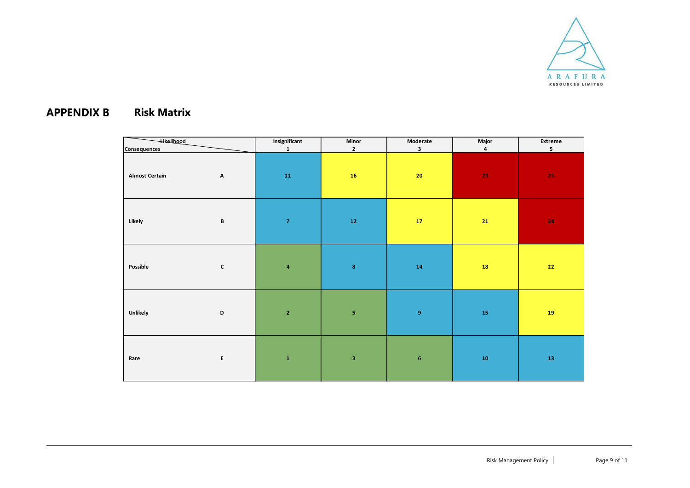

#### **APPENDIX B Risk Matrix**

<span id="page-8-0"></span>

| <b>Likelihood</b>     |                           | Insignificant                                                                   | Minor                   | Moderate         | Major                   | Extreme        |  |
|-----------------------|---------------------------|---------------------------------------------------------------------------------|-------------------------|------------------|-------------------------|----------------|--|
| Consequences          |                           | $\mathbf{1}$                                                                    | $\mathbf{2}$            | $\mathbf 3$      | $\overline{\mathbf{4}}$ | 5 <sub>1</sub> |  |
| <b>Almost Certain</b> | $\boldsymbol{\mathsf{A}}$ | $\bf{11}$                                                                       | 16                      | 20 <sub>2</sub>  | 23                      | ${\bf 25}$     |  |
| Likely                | $\, {\bf B}$              | $\boldsymbol{7}$                                                                | ${\bf 12}$              | ${\bf 17}$       | $\bf{21}$               | $\bf 24$       |  |
| Possible              | $\mathbf c$               | $\overline{\mathbf{4}}$                                                         | $\pmb{8}$               | ${\bf 14}$       | 18                      | $\bf 22$       |  |
| <b>Unlikely</b>       | $\mathbf D$               | $\mathbf{2}% =\mathbf{1}_{B}\left( \mathbf{1}_{B}\right) ^{\ast}\mathbf{1}_{B}$ | ${\bf 5}$               | $\boldsymbol{9}$ | 15                      | 19             |  |
| Rare                  | $\mathsf E$               | $\mathbf 1$                                                                     | $\overline{\mathbf{3}}$ | $\boldsymbol{6}$ | ${\bf 10}$              | ${\bf 13}$     |  |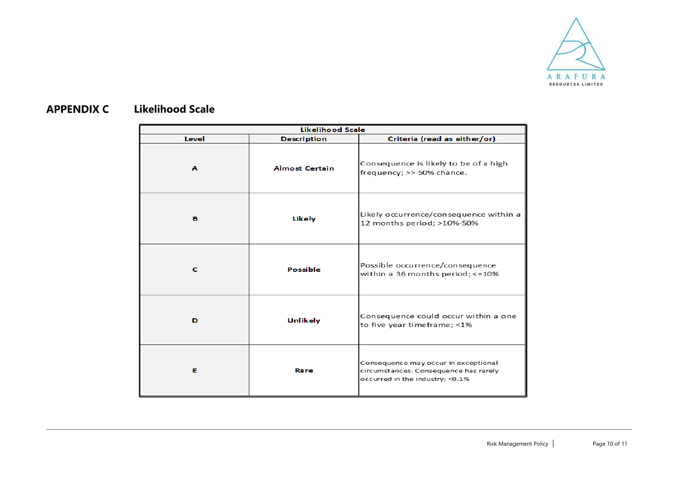

#### <span id="page-9-0"></span>**APPENDIX C Likelihood Scale**

| <b>Likelihood Scale</b> |                       |                                                                                                                  |  |  |  |  |
|-------------------------|-----------------------|------------------------------------------------------------------------------------------------------------------|--|--|--|--|
| Level                   | <b>Description</b>    | Criteria (read as either/or)                                                                                     |  |  |  |  |
| $\mathbf{A}$            | <b>Almost Certain</b> | Consequence is likely to be of a high<br>frequency; >> 50% chance.                                               |  |  |  |  |
| в                       | Likely                | Likely occurrence/consequence within a<br>12 months period; >10%-50%                                             |  |  |  |  |
| c                       | <b>Possible</b>       | Possible occurrence/consequence<br>within a 36 months period; <= 10%                                             |  |  |  |  |
| D                       | <b>Unlikely</b>       | Consequence could occur within a one<br>to five year timeframe; <1%                                              |  |  |  |  |
| Е                       | Rare                  | Consequence may occur in exceptional<br>circumstances. Consequence has rarely<br>occurred in the industry; <0.1% |  |  |  |  |